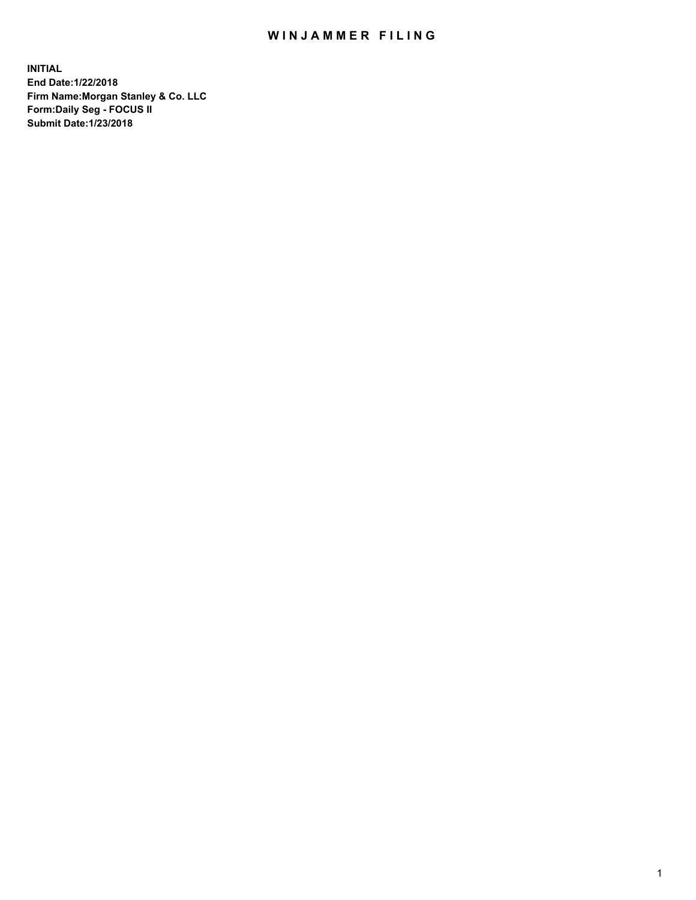## WIN JAMMER FILING

**INITIAL End Date:1/22/2018 Firm Name:Morgan Stanley & Co. LLC Form:Daily Seg - FOCUS II Submit Date:1/23/2018**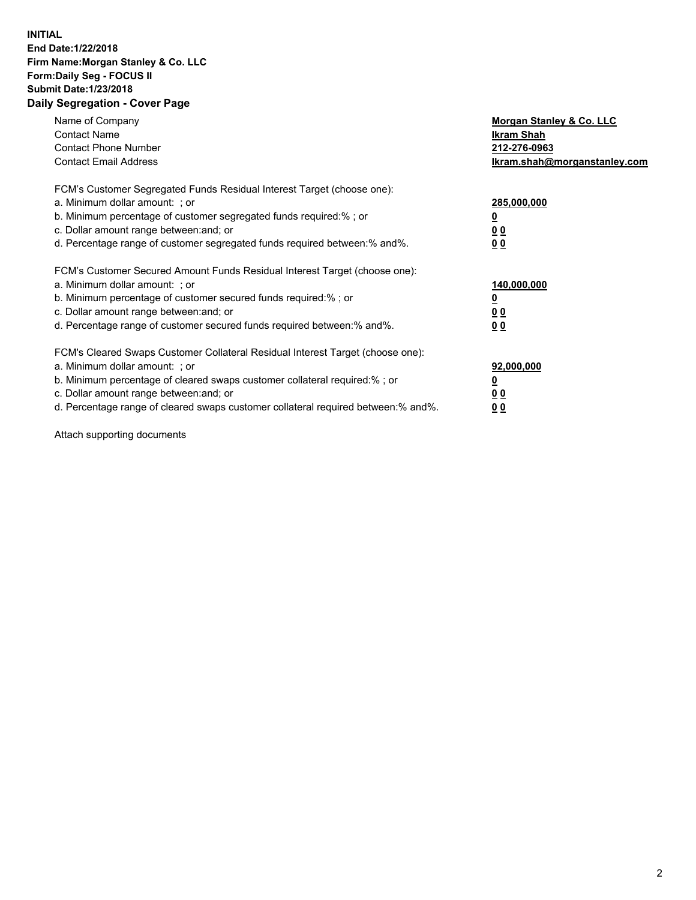## **INITIAL End Date:1/22/2018 Firm Name:Morgan Stanley & Co. LLC Form:Daily Seg - FOCUS II Submit Date:1/23/2018 Daily Segregation - Cover Page**

| Name of Company<br><b>Contact Name</b><br><b>Contact Phone Number</b><br><b>Contact Email Address</b>                                                                                                                                                                                                                         | Morgan Stanley & Co. LLC<br>Ikram Shah<br>212-276-0963<br>lkram.shah@morganstanley.com |
|-------------------------------------------------------------------------------------------------------------------------------------------------------------------------------------------------------------------------------------------------------------------------------------------------------------------------------|----------------------------------------------------------------------------------------|
| FCM's Customer Segregated Funds Residual Interest Target (choose one):<br>a. Minimum dollar amount: ; or<br>b. Minimum percentage of customer segregated funds required:%; or<br>c. Dollar amount range between: and; or<br>d. Percentage range of customer segregated funds required between:% and%.                         | 285,000,000<br>0 <sub>0</sub><br>00                                                    |
| FCM's Customer Secured Amount Funds Residual Interest Target (choose one):<br>a. Minimum dollar amount: ; or<br>b. Minimum percentage of customer secured funds required:%; or<br>c. Dollar amount range between: and; or<br>d. Percentage range of customer secured funds required between:% and%.                           | 140,000,000<br>0 <sub>0</sub><br>0 <sub>0</sub>                                        |
| FCM's Cleared Swaps Customer Collateral Residual Interest Target (choose one):<br>a. Minimum dollar amount: ; or<br>b. Minimum percentage of cleared swaps customer collateral required:%; or<br>c. Dollar amount range between: and; or<br>d. Percentage range of cleared swaps customer collateral required between:% and%. | 92,000,000<br>0 <sub>0</sub><br><u>00</u>                                              |

Attach supporting documents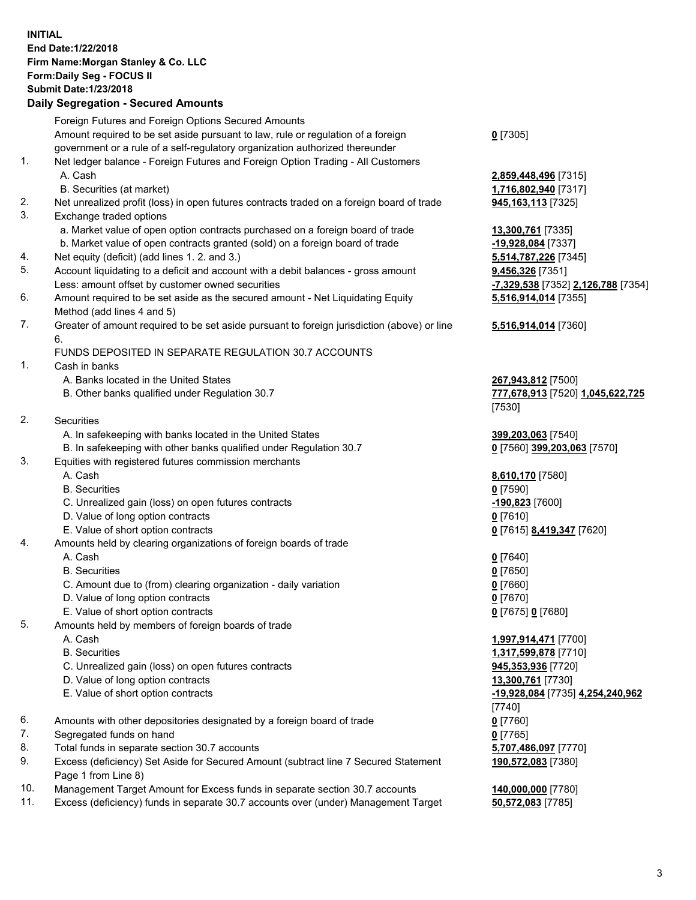## **INITIAL End Date:1/22/2018 Firm Name:Morgan Stanley & Co. LLC Form:Daily Seg - FOCUS II Submit Date:1/23/2018 Daily Segregation - Secured Amounts**

Foreign Futures and Foreign Options Secured Amounts Amount required to be set aside pursuant to law, rule or regulation of a foreign government or a rule of a self-regulatory organization authorized thereunder 1. Net ledger balance - Foreign Futures and Foreign Option Trading - All Customers A. Cash **2,859,448,496** [7315] B. Securities (at market) **1,716,802,940** [7317] 2. Net unrealized profit (loss) in open futures contracts traded on a foreign board of trade **945,163,113** [7325] 3. Exchange traded options a. Market value of open option contracts purchased on a foreign board of trade **13,300,761** [7335] b. Market value of open contracts granted (sold) on a foreign board of trade **-19,928,084** [7337] 4. Net equity (deficit) (add lines 1. 2. and 3.) **5,514,787,226** [7345] 5. Account liquidating to a deficit and account with a debit balances - gross amount **9,456,326** [7351] Less: amount offset by customer owned securities **-7,329,538** [7352] **2,126,788** [7354] 6. Amount required to be set aside as the secured amount - Net Liquidating Equity Method (add lines 4 and 5) 7. Greater of amount required to be set aside pursuant to foreign jurisdiction (above) or line 6. FUNDS DEPOSITED IN SEPARATE REGULATION 30.7 ACCOUNTS 1. Cash in banks A. Banks located in the United States **267,943,812** [7500] B. Other banks qualified under Regulation 30.7 **777,678,913** [7520] **1,045,622,725** 2. Securities A. In safekeeping with banks located in the United States **399,203,063** [7540] B. In safekeeping with other banks qualified under Regulation 30.7 **0** [7560] **399,203,063** [7570] 3. Equities with registered futures commission merchants A. Cash **8,610,170** [7580] B. Securities **0** [7590] C. Unrealized gain (loss) on open futures contracts **-190,823** [7600] D. Value of long option contracts **0** [7610] E. Value of short option contracts **0** [7615] **8,419,347** [7620] 4. Amounts held by clearing organizations of foreign boards of trade A. Cash **0** [7640] B. Securities **0** [7650] C. Amount due to (from) clearing organization - daily variation **0** [7660] D. Value of long option contracts **0** [7670] E. Value of short option contracts **0** [7675] **0** [7680] 5. Amounts held by members of foreign boards of trade A. Cash **1,997,914,471** [7700] B. Securities **1,317,599,878** [7710] C. Unrealized gain (loss) on open futures contracts **945,353,936** [7720] D. Value of long option contracts **13,300,761** [7730] E. Value of short option contracts **-19,928,084** [7735] **4,254,240,962** 6. Amounts with other depositories designated by a foreign board of trade **0** [7760]

- 7. Segregated funds on hand **0** [7765]
- 8. Total funds in separate section 30.7 accounts **5,707,486,097** [7770]
- 9. Excess (deficiency) Set Aside for Secured Amount (subtract line 7 Secured Statement Page 1 from Line 8)
- 10. Management Target Amount for Excess funds in separate section 30.7 accounts **140,000,000** [7780]
- 11. Excess (deficiency) funds in separate 30.7 accounts over (under) Management Target **50,572,083** [7785]

**0** [7305]

**5,516,914,014** [7355]

## **5,516,914,014** [7360]

[7530]

[7740] **190,572,083** [7380]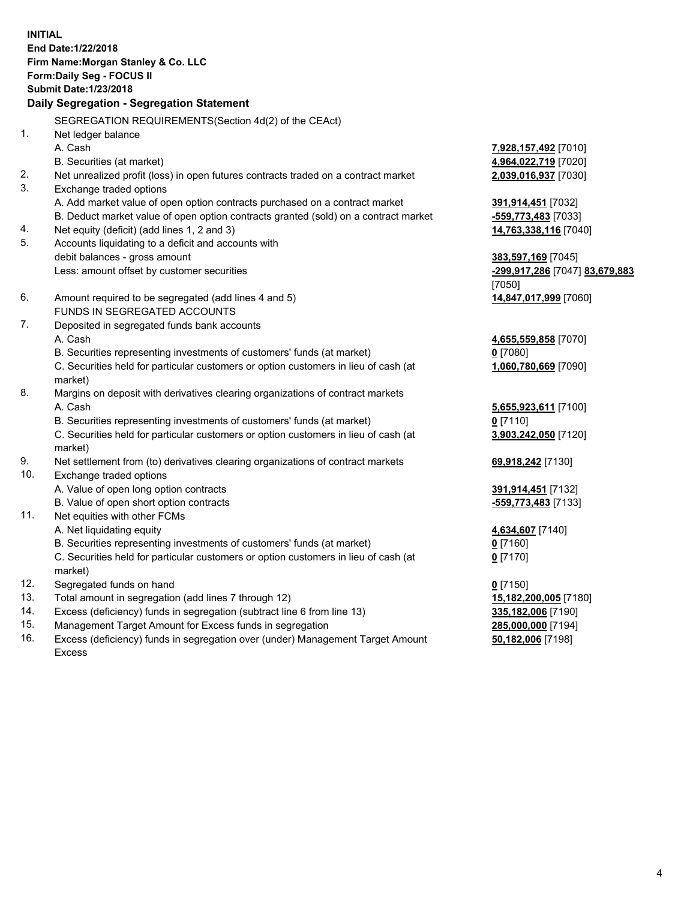**INITIAL End Date:1/22/2018 Firm Name:Morgan Stanley & Co. LLC Form:Daily Seg - FOCUS II Submit Date:1/23/2018 Daily Segregation - Segregation Statement** SEGREGATION REQUIREMENTS(Section 4d(2) of the CEAct) 1. Net ledger balance A. Cash **7,928,157,492** [7010] B. Securities (at market) **4,964,022,719** [7020] 2. Net unrealized profit (loss) in open futures contracts traded on a contract market **2,039,016,937** [7030] 3. Exchange traded options A. Add market value of open option contracts purchased on a contract market **391,914,451** [7032] B. Deduct market value of open option contracts granted (sold) on a contract market **-559,773,483** [7033] 4. Net equity (deficit) (add lines 1, 2 and 3) **14,763,338,116** [7040] 5. Accounts liquidating to a deficit and accounts with debit balances - gross amount **383,597,169** [7045] Less: amount offset by customer securities **-299,917,286** [7047] **83,679,883** [7050] 6. Amount required to be segregated (add lines 4 and 5) **14,847,017,999** [7060] FUNDS IN SEGREGATED ACCOUNTS 7. Deposited in segregated funds bank accounts A. Cash **4,655,559,858** [7070] B. Securities representing investments of customers' funds (at market) **0** [7080] C. Securities held for particular customers or option customers in lieu of cash (at market) **1,060,780,669** [7090] 8. Margins on deposit with derivatives clearing organizations of contract markets A. Cash **5,655,923,611** [7100] B. Securities representing investments of customers' funds (at market) **0** [7110] C. Securities held for particular customers or option customers in lieu of cash (at market) **3,903,242,050** [7120] 9. Net settlement from (to) derivatives clearing organizations of contract markets **69,918,242** [7130] 10. Exchange traded options A. Value of open long option contracts **391,914,451** [7132] B. Value of open short option contracts **-559,773,483** [7133] 11. Net equities with other FCMs A. Net liquidating equity **4,634,607** [7140] B. Securities representing investments of customers' funds (at market) **0** [7160] C. Securities held for particular customers or option customers in lieu of cash (at market) **0** [7170] 12. Segregated funds on hand **0** [7150] 13. Total amount in segregation (add lines 7 through 12) **15,182,200,005** [7180] 14. Excess (deficiency) funds in segregation (subtract line 6 from line 13) **335,182,006** [7190]

- 15. Management Target Amount for Excess funds in segregation **285,000,000** [7194]
- 16. Excess (deficiency) funds in segregation over (under) Management Target Amount Excess

**50,182,006** [7198]